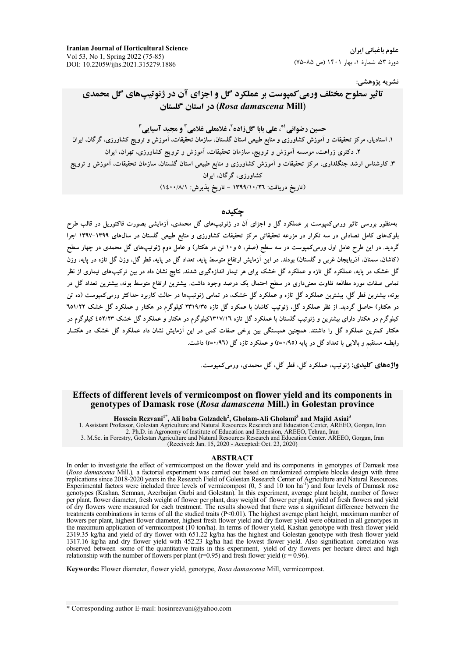**Iranian Journal of Horticultural Science** Vol 53, No 1, Spring 2022 (75-85) DOI: 10.22059/ijhs.2021.315279.1886

علوم باغیانی ایران دورهٔ ۵۳، شمارهٔ ۱، بهار ۱۴۰۱ (ص ۸۵-۷۵)

نشريه پژوهشي:

# تاثیر سطوح مختلف ورمی کمیوست بر عملکرد گل و اجزای آن در ژنوتیپهای گل محمدی (Rosa damascena Mill) در استان گلستان

حسین رضوانی ا\*، علي بابا گل(اده ً، غلامعلي غلامي ً و مجید آسیایي ً ۱. استادیار، مرکز تحقیقات و آموزش کشاورزی و منابع طبیعی استان گلستان، سازمان تحقیقات، آموزش و ترویج کشاورزی، گرگان، ایران ۲. دکتری زراعت، موسسه آموزش و ترویج، سازمان تحقیقات، آموزش و ترویج کشاورزی، تهران، ایران ۳. کارشناس ارشد جنگلداری، مرکز تحقیقات و آموزش کشاورزی و منابع طبیعی استان گلستان، سازمان تحقیقات، آموزش و ترویج کشاورزی، گرگان، ایران (تاریخ دریافت: ١٣٩٩/١٠/٢٦ - تاریخ پذیرش: ١٤٠٠/٨/١)

#### حكىدە

بهمنظور بررسی تاثیر ورمیکمپوست بر عملکرد گل و اجزای آن در ژنوتیپهای گل محمدی، آزمایشی بصورت فاکتوریل در قالب طرح بلوکهای کامل تصادفی در سه تکرار در مزرعه تحقیقاتی مرکز تحقیقات کشاورزی و منابع طبیعی گلستان در سالهای ۱۳۹۹–۱۳۹۷ اجرا گردید. در این طرح عامل اول ورمیکمپوست در سه سطح (صفر، ٥ و١٠ تن در هکتار) و عامل دوم ژنوتیپهای گل محمدی در چهار سطح (کاشان، سمنان، آذربایجان غربی و گلستان) بودند. در این آزمایش ارتفاع متوسط پایه، تعداد گل در پایه، قطر گل، وزن گل تازه در پایه، وزن گل خشک در پایه، عملکرد گل تازه و عملکرد گل خشک برای هر تیمار اندازهگیری شدند. نتایج نشان داد در بین ترکیبهای تیماری از نظر تمامی صفات مورد مطالعه تفاوت معنیداری در سطح احتمال یک درصد وجود داشت. بیشترین ارتفاع متوسط بوته، بیشترین تعداد گل در بوته، بیشترین قطر گل، بیشترین عملکرد گل تازه و عملکرد گل خشک، در تمامی ژنوتیبها در حالت کاربرد حداکثر ورمی کمیوست (ده تن در هکتار) حاصل گردید. از نظر عملکرد گل، ژنوتیپ کاشان با عمکرد گل تازه ۲۳۱۹/۳۵ کیلوگرم در هکتار و عملکرد گل خشک ۲۵۱/۲۲ کیلوگرم در هکتار دارای بیشترین و ژنوتیپ گلستان با عملکرد گل تازه ۱۳۱۷/۱٦کیلوگرم در هکتار و عملکرد گل خشک ۵۲/۲۳ک کیلوگرم در هکتار کمترین عملکرد گل را داشتند. همچنین همبستگی بین برخی صفات کمی در این آزمایش نشان داد عملکرد گل خشک در هکتــار رابطــه مستقیم و بالایی با تعداد گل در پایه (r=۰/۹٥) و عملکرد تازه گل (r=۰/۹٦) داشت.

واژههاي كليدي: ژنويپ، عملكرد گل، قطر گل، گل محمدي، ورمي كمپوست.

#### Effects of different levels of vermicompost on flower yield and its components in genotypes of Damask rose (Rosa damascena Mill.) in Golestan province

Hossein Rezvani<sup>1\*</sup>, Ali baba Golzadeh<sup>2</sup>, Gholam-Ali Gholami<sup>3</sup> and Majid Asiai<sup>3</sup>

1. Assistant Professor, Golestan Agriculture and Natural Resources Research and Education Center, AREEO, Gorgan, Iran 2. Ph.D. in Agronomy of Institute of Education and Extension, AREEO, Tehran, Iran 3. M.Sc. in Forestry, Golestan Agriculture and Natural Resources Research and Education Center. AREEO, Gorgan, Iran<br>(Received: Jan. 15, 2020 - Accepted: Oct. 23, 2020)

#### **ABSTRACT**

In order to investigate the effect of vermicompost on the flower yield and its components in genotypes of Damask rose (Rosa damascena Mill.), a factorial experiment was carried out based on randomized complete blocks design with three (Nota damascenar winn.), a account experiment was carried of Golestan Research Center of Agriculture and Natural Resources.<br>
Experimental factors were included three levels of vermicompost (0, 5 and 10 ton ha<sup>1</sup>) and four treatments combinations in terms of all the studied traits (P<0.01). The highest average plant height, maximum number of flowers per plant, highest flower diameter, highest fresh flower yield and dry flower yield were obtained in all genotypes in the maximum application of vermicompost (10 ton/ha). In terms of flower yield, Kashan genotype with fresh flower yield 2319.35 kg/ha and yield of dry flower with 651.22 kg/ha has the highest and Golestan genotype with fiesh flower yield<br>1317.16 kg/ha and yield of dry flower with 651.22 kg/ha has the highest and Golestan genotype with fres

Keywords: Flower diameter, flower yield, genotype, Rosa damascena Mill, vermicompost.

\* Corresponding author E-mail: hosinrezvani@yahoo.com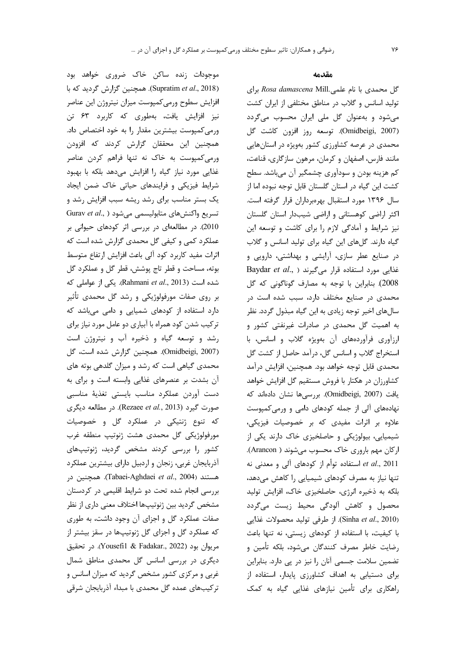موجودات زنده ساکن خاک ضروری خواهد بود (Supratim et al., 2018). همچنین گزارش گردید که با افزايش سطوح ورمى كمپوست ميزان نيتروژن اين عناصر نیز افزایش یافت، بهطوری که کاربرد ۶۳ تن ورمی کمپوست بیشترین مقدار را به خود اختصاص داد. همچنین این محققان گزارش کردند که افزودن ورمی کمپوست به خاک نه تنها فراهم کردن عناصر غذایی مورد نیاز گیاه را افزایش میدهد بلکه با بهبود شرایط فیزیکی و فرایندهای حیاتی خاک ضمن ایجاد یک بستر مناسب برای رشد ریشه سبب افزایش رشد و Gurav et al., ) متابوليسمى مى شود ( .. Gurav et al 2010). در مطالعهای در بررسی اثر کودهای حیوانی بر عملکرد کمی و کیفی گل محمدی گزارش شده است که اثرات مفيد كاربرد كود آلى باعث افزايش ارتفاع متوسط بوته، مساحت و قطر تاج پوشش، قطر گل و عملکرد گل شده است (Rahmani et al., 2013). یکی از عواملی که بر روی صفات مورفولوژیکی و رشد گل محمدی تأثیر دارد استفاده از کودهای شمیایی و دامی میباشد که ترکیب شدن کود همراه با آبیاری دو عامل مورد نیاز برای رشد و توسعه گیاه و ذخیره آب و نیتروژن است (Omidbeigi, 2007). همچنین گزارش شده است، گل محمدی گیاهی است که رشد و میزان گلدهی بوته های آن بشدت بر عنصرهای غذایی وابسته است و برای به دست آوردن عملكرد مناسب بايستى تغذية مناسبي صورت گیرد (Rezaee et al., 2013). در مطالعه دیگری که تنوع ژنتیکی در عملکرد گل و خصوصیات مورفولوژيکي گل محمدي هشت ژنوتيپ منطقه غرب کشور را بررسی کردند مشخص گردید، ژنوتیپهای أذربايجان غربي، زنجان و اردبيل داراي بيشترين عملكرد هستند (Tabaei-Aghdaei *et al.*, 2004). همچنین در بررسی انجام شده تحت دو شرایط اقلیمی در کردستان مشخص گردید بین ژنوتیپها اختلاف معنی داری از نظر صفات عملکرد گل و اجزای آن وجود داشت، به طوری که عملکرد گل و اجزای گل ژنوتیپها در سقز بیشتر از مريوان بود (Yousefil & Fadakar., 2022). در تحقيق دیگری در بررسی اسانس گل محمدی مناطق شمال غربی و مرکزی کشور مشخص گردید که میزان اسانس و ترکیبهای عمده گل محمدی با مبداء آذربایجان شرقی

#### مقدمه

گل محمدی با نام علمی.Rosa damascena Mill برای تولید اسانس و گلاب در مناطق مختلفی از ایران کشت میشود و بهعنوان گل ملی ایران محسوب میگردد (Omidbeigi, 2007). توسعه روز افزون كاشت گل محمدی در عرصه کشاورزی کشور بهویژه در استانهایی مانند فارس، اصفهان و کرمان، مرهون سازگاری، قناعت، کم هزینه بودن و سودآوری چشمگیر آن میباشد. سطح كشت اين گياه در استان گلستان قابل توجه نبوده اما از سال ۱۳۹۶ مورد استقبال بهرهبرداران قرار گرفته است. اکثر اراضی کوهستانی و اراضی شیبدار استان گلستان نیز شرایط و آمادگی لازم را برای کاشت و توسعه این گیاه دارند. گلهای این گیاه برای تولید اسانس و گلاب در صنایع عطر سازی، آرایشی و بهداشتی، دارویی و Baydar et al., ) غذایی مورد استفاده قرار میگیرند 2008). بنابراین با توجه به مصارف گوناگونی که گل محمدی در صنایع مختلف دارد، سبب شده است در سالهای اخیر توجه زیادی به این گیاه مبذول گردد. نظر به اهمیت گل محمدی در صادرات غیرنفتی کشور و ارزآوری فرآوردههای آن بهویژه گلاب و اسانس، با استخراج گلاب و اسانس گل، درآمد حاصل از کشت گل محمدي قابل توجه خواهد بود. همچنين، افزايش درآمد كشاورزان در هكتار با فروش مستقيم گل افزايش خواهد يافت (Omidbeigi, 2007). بررسي ها نشان دادهاند كه نهادههای آلی از جمله کودهای دامی و ورمی کمپوست علاوه بر اثرات مفیدی که بر خصوصیات فیزیکی، شیمیایی، بیولوژیکی و حاصلخیزی خاک دارند یکی از اركان مهم باروري خاك محسوب مي شوند ( Arancon). استفاده توأم از کودهای آلی و معدنی نه et al., 2011 تنها نیاز به مصرف کودهای شیمیایی را کاهش میدهد، بلکه به ذخیره انرژی، حاصلخیزی خاک، افزایش تولید محصول و کاهش آلودگی محیط زیست میگردد (Sinha et al., 2010). از طرفی تولید محصولات غذایی با کیفیت، با استفاده از کودهای زیستی، نه تنها باعث رضایت خاطر مصرف کنندگان می شود، بلکه تأمین و تضمین سلامت جسمی آنان را نیز در پی دارد. بنابراین برای دستیابی به اهداف کشاورزی پایدار، استفاده از راهکاری برای تأمین نیازهای غذایی گیاه به کمک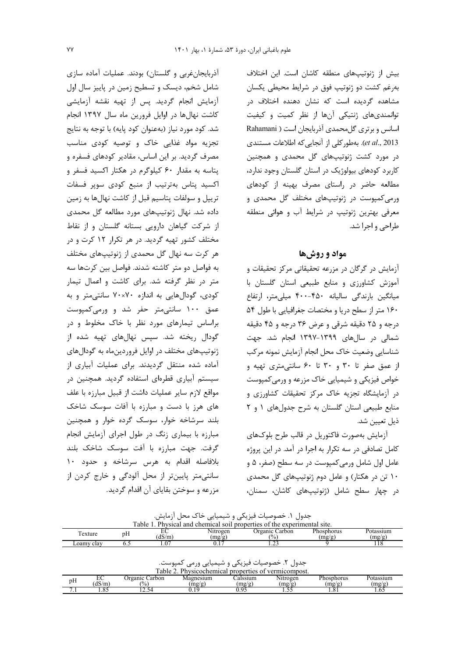بیش از ژنوتیپهای منطقه کاشان است. این اختلاف بهرغم کشت دو ژنوتیپ فوق در شرایط محیطی یکسان مشاهده گردیده است که نشان دهنده اختلاف در توانمندیهای ژنتیکی آنها از نظر کمیت و کیفیت اسانس و برتری گل محمدی آذربایجان است ( Rahamani et al., 2013). بهطور كلي از آنجايي كه اطلاعات مستندي در مورد کشت ژنوتیپهای گل محمدی و همچنین کاربرد کودهای بیولوژیک در استان گلستان وجود ندارد، مطالعه حاضر در راستای مصرف بهینه از کودهای ورمی کمپوست در ژنوتیپهای مختلف گل محمدی و معرفی بهترین ژنوتیپ در شرایط آب و هوائی منطقه طراحی و اجرا شد.

### مواد و روشها

آزمایش در گرگان در مزرعه تحقیقاتی مرکز تحقیقات و آموزش کشاورزی و منابع طبیعی استان گلستان با میانگین بارندگی سالیانه ۴۵۰–۴۰۰ میلی متر، ارتفاع ١۶٠ متر از سطح دريا و مختصات جغرافيايي با طول ٥۴ درجه و ۲۵ دقیقه شرقی و عرض ۳۶ درجه و ۴۵ دقیقه شمالی در سالهای ۱۳۹۹–۱۳۹۷ انجام شد. جهت شناسایی وضعیت خاک محل انجام آزمایش نمونه مرکب از عمق صفر تا ۳۰ و ۳۰ تا ۶۰ سانتی متری تهیه و خواص فيزيكي و شيميايي خاک مزرعه و ورمي کمپوست در آزمایشگاه تجزیه خاک مرکز تحقیقات کشاورزی و منابع طبیعی استان گلستان به شرح جدول های ١ و ٢ ذيل تعيين شد.

آزمایش بهصورت فاکتوریل در قالب طرح بلوکهای كامل تصادفي در سه تكرار به اجرا در آمد. در اين پروژه عامل اول شامل ورمیکمپوست در سه سطح (صفر، ۵ و ۱۰ تن در هکتار) و عامل دوم ژنوتیپهای گل محمدی در چهار سطح شامل (ژنوتیپهای کاشان، سمنان،

| أذربایجانغربی و گلستان) بودند. عملیات أماده سازی      |
|-------------------------------------------------------|
| شامل شخم، دیسک و تسطیح زمین در پاییز سال اول          |
| آزمایش انجام گردید. پس از تهیه نقشه آزمایشی           |
| کاشت نهالها در اوایل فرورین ماه سال ۱۳۹۷ انجام        |
| شد. کود مورد نیاز (بهعنوان کود پایه) با توجه به نتایج |
| تجزیه مواد غذایی خاک و توصیه کودی مناسب               |
| مصرف گردید. بر این اساس، مقادیر کودهای فسفره و        |
| پتاسه به مقدار ۶۰ کیلوگرم در هکتار اکسید فسفر و       |
| اکسید پتاس بهترتیب از منبع کودی سوپر فسفات            |
| تریپل و سولفات پتاسیم قبل از کاشت نهالها به زمین      |
| داده شد. نهال ژنوتیپهای مورد مطالعه گل محمدی          |
| از شرکت گیاهان دارویی بستانه گلستان و از نقاط         |
| مختلف کشور تهیه گردید. در هر تکرار ۱۲ کرت و در        |
| هر کرت سه نهال گل محمدی از ژنوتیپهای مختلف            |
| به فواصل دو متر كاشته شدند. فواصل بين كرتها سه        |
| متر در نظر گرفته شد. برای کاشت و اعمال تیمار          |
| کودی، گودالهایی به اندازه ۷۰×۷۰ سانتیمتر و به         |
| عمق ۱۰۰ سانتیمتر حفر شد و ورمیکمپوست                  |
| براساس تیمارهای مورد نظر با خاک مخلوط و در            |
| گودال ریخته شد. سپس نهالهای تهیه شده از               |
| ژنوتیپهای مختلف در اوایل فروردینماه به گودالهای       |
| آماده شده منتقل گردیدند. برای عملیات آبیاری از        |
| سیستم آبیاری قطرهای استفاده گردید. همچنین در          |
| مواقع لازم سایر عملیات داشت از قبیل مبارزه با علف     |
| های هرز با دست و مبارزه با آفات سوسک شاخک             |
| بلند سرشاخه خوار، سوسک گرده خوار و همچنین             |
| مبارزه با بیماری زنگ در طول اجرای آزمایش انجام        |
| گرفت. جهت مبارزه با آفت سوسک شاخک بلند                |
| بلافاصله اقدام به هرس سرشاخه و حدود ١٠                |
| سانتیمتر پایینتر از محل آلودگی و خارج کردن از         |
| مزرعه و سوختن بقایای آن اقدام گردید.                  |

جدول ۱. خصوصیات فیزیکی و شیمیایی خاک محل آزمایش.<br>نفضا اعلام سنتورسیو ملاعم مناسبه معنا استفاده استفاده استفاده استفاده به استفاده مناسبه معنا

| adie<br>Physical and<br>chemical soil properties of the experimental<br>t site. |    |                        |             |                    |            |           |  |  |  |
|---------------------------------------------------------------------------------|----|------------------------|-------------|--------------------|------------|-----------|--|--|--|
| exture                                                                          |    | ∽                      | Nitrogen    | ) reanic<br>∠arbon | Phosphorus | Potassium |  |  |  |
|                                                                                 | DП | 1 <sup>C</sup><br>dS/m | mp/g<br>. . | $\frac{1}{2}$      | mp/g       | (mq/q)    |  |  |  |
| clay<br>∟oamv                                                                   | ◡. | . v                    | U.I         | .                  |            | 110       |  |  |  |

جدول ۲. خصوصیات فیزیکی و شیمیایی ورمی کمپوست.<br>Table 2. Physicochemical properties of vermicompost

| $\sim$ $\sim$<br>pп | 1 <sub>0</sub><br><b>UD/III</b> | arbon<br>$\sim$<br>$\frac{1}{2}$ | .<br>---<br>$\sim$<br>-<br>تعبير | $\sim$<br>١Ο<br>. | .com<br>$\sim$<br>$\sim$<br>$\sim$<br><br>. | orus<br>.   | <b>AND ON</b><br>$\sim$<br>uus |
|---------------------|---------------------------------|----------------------------------|----------------------------------|-------------------|---------------------------------------------|-------------|--------------------------------|
| $\cdot$ .           | . . U. 1                        | .                                |                                  |                   | --<br>.                                     | $\sim$<br>. | 1.VJ                           |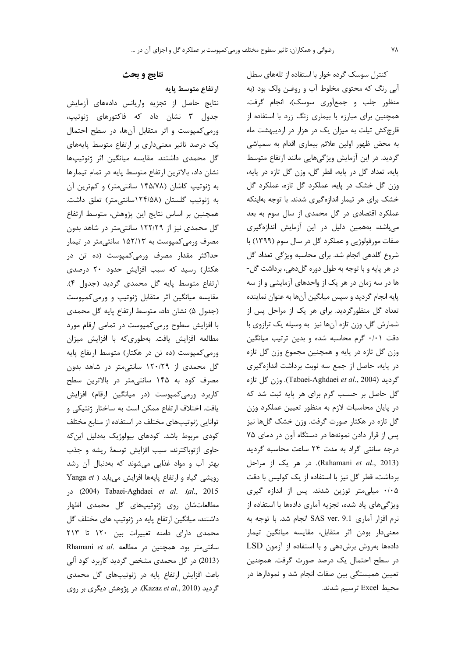#### **YA**

## نتايج و بحث

ارتفاع متوسط يايه

نتايج حاصل از تجزيه واريانس دادههاى أزمايش جدول ۳ نشان داد که فاکتورهای ژنوتیپ، ورمی کمپوست و اثر متقابل آنها، در سطح احتمال یک درصد تاثیر معنیداری بر ارتفاع متوسط پایههای گل محمدی داشتند. مقایسه میانگین اثر ژنوتیپها نشان داد، بالاترین ارتفاع متوسط پایه در تمام تیمارها به ژنوتیپ کاشان (۱۴۵/۷۸ سانتیمتر) و کمترین آن به ژنوتیپ گلستان (۱۲۴/۵۸سانتی متر) تعلق داشت. همچنین بر اساس نتایج این پژوهش، متوسط ارتفاع گل محمدی نیز از ۱۲۲/۲۹ سانتی متر در شاهد بدون مصرف ورمیکمپوست به ۱۵۲/۱۳ سانتیمتر در تیمار حداکثر مقدار مصرف ورمیکمپوست (ده تن در هکتار) رسید که سبب افزایش حدود ۲۰ درصدی ارتفاع متوسط پايه گل محمدى گرديد (جدول ۴). مقایسه میانگین اثر متقابل ژنوتیپ و ورمیکمپوست (جدول ۵) نشان داد، متوسط ارتفاع پایه گل محمدی با افزایش سطوح ورمی کمپوست در تمامی ارقام مورد مطالعه افزایش یافت. بهطوری که با افزایش میزان ورمیکمپوست (ده تن در هکتار) متوسط ارتفاع پایه گل محمدی از ۱۲۰/۲۹ سانتی متر در شاهد بدون مصرف کود به ۱۴۵ سانتی متر در بالاترین سطح كاربرد ورمى كمپوست (در ميانگين ارقام) افزايش يافت. اختلاف ارتفاع ممكن است به ساختار ژنتيكي و توانایی ژنوتیپهای مختلف در استفاده از منابع مختلف کودی مربوط باشد. کودهای بیولوژیک بهدلیل اینکه حاوی ازتوباکترند، سبب افزایش توسعهٔ ریشه و جذب بهتر آب و مواد غذایی میشوند که بهدنبال آن رشد Yanga et ) رویشی گیاه و ارتفاع پایهها افزایش می یابد 2015). 2014) Tabaei-Aghdaei et al. (al., 2015) مطالعاتشان روی ژنوتیپهای گل محمدی اظهار داشتند، میانگین ارتفاع پایه در ژنوتیپ های مختلف گل محمدی دارای دامنه تغییرات بین ١٢٠ تا ٢١٣ Rhamani et al. محجنین در مطالعه Rhamani et al. (2013) در گل محمدی مشخص گردید کاربرد کود آلی باعث افزایش ارتفاع پایه در ژنوتیپهای گل محمدی گردید (Kazaz et al., 2010). در پژوهش دیگری بر روی

کنترل سوسک گرده خوار با استفاده از تلههای سطل آبی رنگ که محتوی مخلوط آب و روغـن ولک بود (به منظور جلب و جمع آوري سوسک)، انجام گرفت. همچنین برای مبارزه با بیماری زنگ زرد با استفاده از قارچکش تیلت به میزان یک در هزار در اردیبهشت ماه به محض ظهور اولین علائم بیماری اقدام به سمپاشی گردید. در این آزمایش ویژگیهایی مانند ارتفاع متوسط پايه، تعداد گل در پايه، قطر گل، وزن گل تازه در پايه، وزن گل خشک در پایه، عملکرد گل تازه، عملکرد گل خشک برای هر تیمار اندازهگیری شدند. با توجه بهاینکه عملکرد اقتصادی در گل محمدی از سال سوم به بعد میباشد، بههمین دلیل در این آزمایش اندازهگیری صفات مورفولوژيي و عملكرد گل در سال سوم (١٣٩٩) با شروع گلدهی انجام شد. برای محاسبه ویژگی تعداد گل در هر پایه و با توجه به طول دوره گلدهی، برداشت گل-ها در سه زمان در هر یک از واحدهای آزمایشی و از سه پایه انجام گردید و سپس میانگین آنها به عنوان نماینده تعداد گل منظورگردید. برای هر یک از مراحل پس از شمارش گل، وزن تازه آنها نیز به وسیله یک ترازوی با دقت ٠/٠١ گرم محاسبه شده و بدين ترتيب ميانگين وزن گل تازه در پایه و همچنین مجموع وزن گل تازه در پایه، حاصل از جمع سه نوبت برداشت اندازهگیری 5 ديد (Tabaei-Aghdaei et al., 2004). وزن كل تازه گل حاصل بر حسب گرم برای هر پایه ثبت شد که در پایان محاسبات لازم به منظور تعیین عملکرد وزن گل تازه در هکتار صورت گرفت. وزن خشک گلها نیز پس از قرار دادن نمونهها در دستگاه آون در دمای ۷۵ درجه سانتی گراد به مدت ۲۴ ساعت محاسبه گردید (Rahamani et al., 2013). در هر یک از مراحل برداشت، قطر گل نیز با استفاده از یک کولیس با دقت ۰/۰۵ میلی متر توزین شدند. پس از اندازه گیری ویژگیهای یاد شده، تجزیه آماری دادهها با استفاده از نرم افزار آماري SAS ver. 9.1 انجام شد. با توجه به معنیدار بودن اثر متقابل، مقایسه میانگین تیمار دادهها بهروش برشدهی و با استفاده از آزمون LSD در سطح احتمال یک درصد صورت گرفت. همچنین تعیین همبستگی بین صفات انجام شد و نمودارها در محيط Excel ترسيم شدند.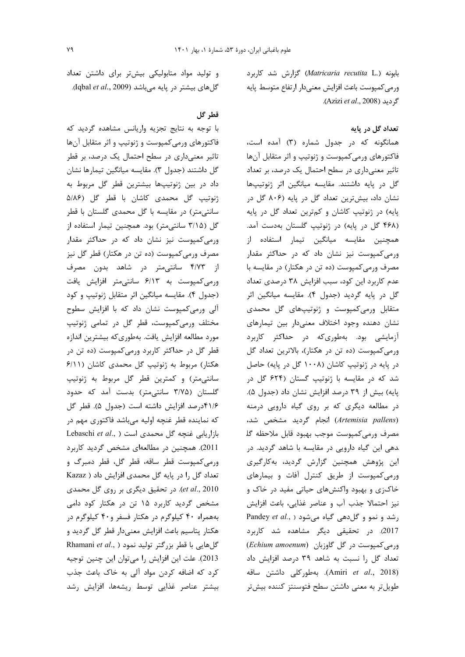بابونه (Matricaria recutita L.) گزارش شد کاربرد ورمى كمپوست باعث افزايش معنىدار ارتفاع متوسط پايه گردید (Azizi et al., 2008).

## تعداد گل در پایه

همانگونه که در جدول شماره (۳) آمده است، فاکتورهای ورمیکمپوست و ژنوتیپ و اثر متقابل آنها تاثیر معنیداری در سطح احتمال یک درصد، بر تعداد گل در پایه داشتند. مقایسه میانگین اثر ژنوتیپها نشان داد، بیشترین تعداد گل در پایه (۸۰۶ گل در پایه) در ژنوتیپ کاشان و کمترین تعداد گل در پایه (۴۶۸ گل در پایه) در ژنوتیپ گلستان بهدست آمد. همچنین مقایسه میانگین تیمار استفاده از ورمی کمپوست نیز نشان داد که در حداکثر مقدار مصرف ورمی کمپوست (ده تن در هکتار) در مقایسه با عدم كاربرد اين كود، سبب افزايش ٣٨ درصدي تعداد گل در پایه گردید (جدول ۴). مقایسه میانگین اثر متقابل ورمیکمپوست و ژنوتیپهای گل محمدی نشان دهنده وجود اختلاف معنىدار بين تيمارهاى آزمایشی بود. بهطوریکه در حداکثر کاربرد ورمی کمپوست (ده تن در هکتار)، بالاترین تعداد گل در پایه در ژنوتیپ کاشان (۱۰۰۸ گل در پایه) حاصل شد که در مقایسه با ژنوتیپ گستان (۶۲۴ گل در پایه) بیش از ۳۹ درصد افزایش نشان داد (جدول ۵). در مطالعه دیگری که بر روی گیاه دارویی درمنه (Artemisia pallens) انجام گردید مشخص شد، مصرف ورمى كمپوست موجب بهبود قابل ملاحظه گل دهی این گیاه دارویی در مقایسه با شاهد گردید. در این پژوهش همچنین گزارش گردید، بهکارگیری ورمی کمپوست از طریق کنترل آفات و بیمارهای خاکزی و بهبود واکنشهای حیاتی مفید در خاک و نيز احتمالا جذب آب و عناصر غذايي، باعث افزايش Pandey et al., ) رشد و نمو و گل دهی گیاه می شود 2017). در تحقیقی دیگر مشاهده شد کاربرد  $(Echium amoenum)$  ورمی کمپوست در گل گاوزبان (Echium amoenum تعداد گل را نسبت به شاهد ۳۹ درصد افزایش داد (Amiri et al., 2018). بهطوركلي داشتن ساقه طویل تر به معنی داشتن سطح فتوسنتز کننده بیش تر

و تولید مواد متابولیکی بیشتر برای داشتن تعداد گلهای بیشتر در پایه میباشد (Iqbal et al., 2009).

## قطر گل

با توجه به نتایج تجزیه واریانس مشاهده گردید که فاکتورهای ورمی کمپوست و ژنوتیپ و اثر متقابل آنها تاثیر معنیداری در سطح احتمال یک درصد، بر قطر گل داشتند (جدول ٣). مقايسه ميانگين تيمارها نشان داد در بين ژنوتيپها بيشترين قطر گل مربوط به ژنوتیپ گل محمدی کاشان با قطر گل (۵/۸۶ سانتیمتر) در مقایسه با گل محمدی گلستان با قطر گل (۳/۱۵ سانتی متر) بود. همچنین تیمار استفاده از ورمی کمپوست نیز نشان داد که در حداکثر مقدار مصرف ورمی کمپوست (ده تن در هکتار) قطر گل نیز از ۴/۷۳ سانتیمتر در شاهد بدون مصرف ورمی کمپوست به ۶/۱۳ سانتی متر افزایش یافت (جدول ۴). مقايسه ميانگين اثر متقابل ژنوتيپ و كود آلی ورمی کمپوست نشان داد که با افزایش سطوح مختلف ورمی کمپوست، قطر گل در تمامی ژنوتیپ مورد مطالعه افزایش یافت. بهطوریکه بیشترین اندازه قطر گل در حداکثر کاربرد ورمی کمپوست (ده تن در هکتار) مربوط به ژنوتیپ گل محمدی کاشان (۶/۱۱ سانتی متر) و کمترین قطر گل مربوط به ژنوتیپ گلستان (۳/۷۵ سانتی متر) بدست آمد که حدود ۴۱/۶درصد افزایش داشته است (جدول ۵). قطر گل که نماینده قطر غنچه اولیه میباشد فاکتوری مهم در Lebaschi et al., ) ازاریابی غنچه گل محمدی است 2011). همچنین در مطالعهای مشخص گردید کاربرد ورمی کمپوست قطر ساقه، قطر گل، قطر دمبرگ و تعداد گل را در پایه گل محمدی افزایش داد ( Kazaz et al., 2010). در تحقیق دیگری بر روی گل محمدی مشخص گردید کاربرد ۱۵ تن در هکتار کود دامی بههمراه ۴۰ کیلوگرم در هکتار فسفر و۴۰ کیلوگرم در هکتار پتاسیم باعث افزایش معنیدار قطر گل گردید و Rhamani et al., ) گلهایی با قطر بزرگتر تولید نمود 2013). علت اين افزايش را مي توان اين چنين توجيه کرد که اضافه کردن مواد آلی به خاک باعث جذب بيشتر عناصر غذايي توسط ريشهها، افزايش رشد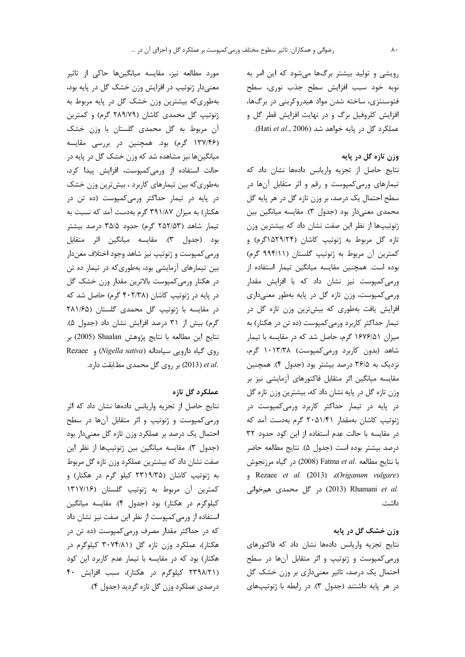رویشی و تولید بیشتر برگها میشود که این امر به نوبه خود سبب افزايش سطح جذب نورى، سطح فتوسنتزی، ساخته شدن مواد هیدروکربنی در برگها، افزایش کلروفیل برگ و در نهایت افزایش قطر گل و عملكرد گل در يايه خواهد شد (Hati et al., 2006).

# وزن تازه گل در پایه

نتايج حاصل از تجزيه واريانس دادهها نشان داد كه تیمارهای ورمیکمپوست و رقم و اثر متقابل آنها در سطح احتمال یک درصد، بر وزن تازه گل در هر پایه گل محمدي معنىدار بود (جدول ٣). مقايسه ميانگين بين ژنوتیپها از نظر این صفت نشان داد که بیشترین وزن تازه گل مربوط به ژنوتیپ کاشان (۱۵۲۹/۲۴هگرم) و كمترين أن مربوط به ژنوتيپ گلستان (۹۹۴/۱۱ گرم) بوده است. همچنین مقایسه میانگین تیمار استفاده از ورمی کمپوست نیز نشان داد که با افزایش مقدار ورمی کمپوست، وزن تازه گل در پایه بهطور معنی داری افزایش یافت بهطوری که بیشترین وزن تازه گل در تیمار حداکثر کاربرد ورمی کمپوست (ده تن در هکتار) به میزان ۱۶۷۶/۵۱ گرم، حاصل شد که در مقایسه با تیمار شاهد (بدون کاربرد ورمیکمپوست) ۱۰۱۳/۳۸ گرم، نزدیک به ۳۶/۵ درصد بیشتر بود (جدول ۴). همچنین مقایسه میانگین اثر متقابل فاکتورهای آزمایشی نیز بر وزن تازه گل در پایه نشان داد که، بیشترین وزن تازه گل در پایه در تیمار حداکثر کاربرد ورمیکمپوست در ژنوتیپ کاشان بهمقدار ۲۰۵۱/۴۱ گرم بهدست آمد که در مقایسه با حالت عدم استفاده از این کود حدود ۳۲ درصد بيشتر بوده است (جدول ۵). نتايج مطالعه حاضر با نتايج مطالعه .Fatma et al (2008) در گياه مرزنجوش (Origanum vulgare)، Rezaee et al. (2013) .c) C013) Rhamani et al (2013) در گل محمدی هم خوانی داشت.

## وزن خشک گل در پایه

نتايج تجزيه واريانس دادهها نشان داد كه فاكتورهاى ورمی کمپوست و ژنوتیپ و اثر متقابل آنها در سطح احتمال یک درصد، تاثیر معنیداری بر وزن خشک گل در هر پایه داشتند (جدول ۳). در رابطه با ژنوتیپهای

مورد مطالعه نیز، مقایسه میانگینها حاکی از تاثیر معنیدار ژنوتیپ در افزایش وزن خشک گل در پایه بود، بهطوری که بیشترین وزن خشک گل در پایه مربوط به ژنوتیپ گل محمدی کاشان (۲۸۹/۷۹ گرم) و کمترین آن مربوط به گل محمدی گلستان با وزن خشک (۱۳۷/۴۶ گرم) بود. همچنین در بررسی مقایسه میانگینها نیز مشاهده شد که وزن خشک گل در پایه در حالت استفاده از ورمیکمپوست، افزایش پیدا کرد، بهطوری که بین تیمارهای کاربرد ، بیشترین وزن خشک در پایه در تیمار حداکثر ورمیکمپوست (ده تن در هکتار) به میزان ۳۹۱/۸۷ گرم بهدست آمد که نسبت به تیمار شاهد (۲۵۲/۵۳ گرم) حدود ۳۵/۵ درصد بیشتر بود (جدول ٣). مقايسه ميانگين اثر متقابل ورمي كمپوست و ژنوتيپ نيز شاهد وجود اختلاف معندار بین تیمارهای آزمایشی بود، بهطوری که در تیمار ده تن در هكتار ورمى كمپوست بالاترين مقدار وزن خشك گل در پایه در ژنوتیپ کاشان (۴۰۲/۳۸ گرم) حاصل شد که در مقایسه با ژنوتیپ گل محمدی گلستان (۲۸۱/۶۵ گرم) بیش از ۳۱ درصد افزایش نشان داد (جدول ۵). نتايج اين مطالعه با نتايج يژوهش Shaalan (2005) بر Rezaee ) روى گياه دارويى سياهدانه (Nigella sativa) و .et al (2013) بر روی گل محمدی مطابقت دارد.

### عملكرد گل تازه

نتايج حاصل از تجزيه واريانس دادهها نشان داد كه اثر ورمی کمپوست و ژنوتیپ و اثر متقابل آنها در سطح احتمال یک درصد بر عملکرد وزن تازه گل معنیدار بود (جدول ٣). مقايسه ميانگين بين ژنوتيپها از نظر اين صفت نشان داد كه بيشترين عملكرد وزن تازه گل مربوط به ژنوتیپ کاشان (۲۳۱۹/۳۵ کیلو گرم در هکتار) و کمترین آن مربوط به ژنوتیپ گلستان (۱۳۱۷/۱۶ کیلوگرم در هکتار) بود (جدول ۴). مقایسه میانگین استفاده از ورمی کمپوست از نظر این صفت نیز نشان داد که در حداکثر مقدار مصرف ورمی کمپوست (ده تن در هکتار)، عملکرد وزن تازه گل (۳۰۷۴/۸۱ کیلوگرم در هکتار) بود که در مقایسه با تیمار عدم کاربرد این کود (۲۳۹۸/۲۱ کیلوگرم در هکتار)، سبب افزایش ۴۰ درصدي عملکرد وزن گل تازه گرديد (جدول ۴).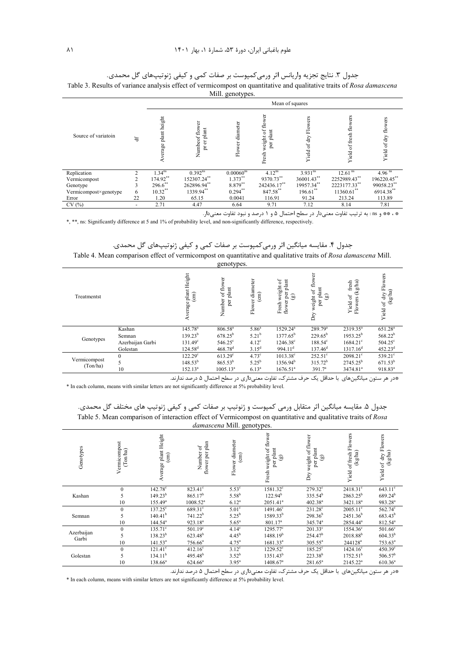|                       |                |                      | Mean of squares                        |                    |                                                    |                       |                              |                                |  |  |  |
|-----------------------|----------------|----------------------|----------------------------------------|--------------------|----------------------------------------------------|-----------------------|------------------------------|--------------------------------|--|--|--|
| Source of variatoin   | ਚਿ             | Average plant height | Numbeof flower<br>planit<br>đ<br>$\Xi$ | diameter<br>Flower | weight of flower<br>$_{\rm plant}$<br>per<br>Fresh | Yield of dry Flowers  | ers<br>of fresh flo<br>Yield | ers<br>flow<br>of dry<br>Yield |  |  |  |
| Replication           | $\mathfrak{D}$ | 1.34 <sup>ns</sup>   | $0.392^{ns}$                           | $0.00060^{ns}$     | $4.12^{ns}$                                        | $3.931$ <sup>ns</sup> | 12.61 <sup>ns</sup>          | $4.96$ <sup>ns</sup>           |  |  |  |
| Vermicompost          | 2              | 174.92**             | 152307.24**                            | $1.373***$         | 9370.73**                                          | 36001.43**            | 2252989.43**                 | 196220.45**                    |  |  |  |
| Genotype              | 3              | $296.6$ **           | 262896.94**                            | 8.879**            | 242436.17**                                        | 19957.34**            | 2223177.33**                 | 99058.23**                     |  |  |  |
| Vermicompost×genotype | 6              | $10.32$ **           | 1339.94**                              | $0.294$ **         | 847.58**                                           | 196.61**              | $11360.61$ **                | 6914.38**                      |  |  |  |
| Error                 | 22             | 1.20                 | 65.15                                  | 0.0041             | 116.91                                             | 91.24                 | 213.24                       | 113.89                         |  |  |  |
| CV(%)                 | ۰              | 2.71                 | 4.47                                   | 6.64               | 9.71                                               | 7.12                  | 8.14                         | 7.81                           |  |  |  |

جدول ٣. نتايج تجزيه واريانس اثر ورمي¢كمپوست بر صفات كمي و كيفي ژنوتيپهاي گل محمدي.

Table 3. Results of variance analysis effect of vermicompost on quantitative and qualitative traits of Rosa damascena  $Mill$  genotypes.

\* ، \*\* و ns: به ترتیب تفاوت معنیدار در سطح احتمال ۵ و ۱ درصد و نبود تفاوت معنیدار.

\*, \*\*, ns: Significantly difference at 5 and 1% of probability level, and non-significantly difference, respectively.

جدول ۴. مقایسه میانگین اثر ورمی کمپوست بر صفات کمی و کیفی ژنوتیپهای گل محمدی. Table 4. Mean comparison effect of vermicompost on quantitative and qualitative traits of Rosa damascena Mill. genotynes

| Treatmentst              |                  | plant Height<br>$\binom{cm}{2}$<br>erage | ┙┸<br>능<br>of flo<br>plant<br>Number<br>per | diameter<br>$\binom{cm}{2}$<br>Flower | ð<br>plant<br>weight<br>per<br>බ<br>flower<br>Fresh | plant<br>$\sigma$<br>බ<br>weight<br>per<br>È | $\frac{1}{2}$<br>fresh<br>Yield of<br>Flowers | Flowers<br>(kg/ha)<br>dry<br>$\mathfrak{b}$<br>Yield |
|--------------------------|------------------|------------------------------------------|---------------------------------------------|---------------------------------------|-----------------------------------------------------|----------------------------------------------|-----------------------------------------------|------------------------------------------------------|
|                          | Kashan           | $145.78^{a}$                             | 806.58 <sup>a</sup>                         | 5.86 <sup>a</sup>                     | 1529.24 <sup>a</sup>                                | $289.79^{a}$                                 | $2319.35^a$                                   | 651.28 <sup>a</sup>                                  |
|                          | Semnan           | $139.23^{b}$                             | $678.25^{b}$                                | $5.21^{b}$                            | $1377.65^{\rm b}$                                   | $229.65^{b}$                                 | $1953.25^{b}$                                 | $568.22^{b}$                                         |
| Genotypes                | Azerbaijan Garbi | $131.49^{\circ}$                         | $546.25^{\circ}$                            | 4.12 <sup>c</sup>                     | $1246.38^{\circ}$                                   | $188.54^{\circ}$                             | $1684.21^{\circ}$                             | $504.25^{\circ}$                                     |
|                          | Golestan         | $124.58^{d}$                             | $468.78$ <sup>d</sup>                       | $3.15^{d}$                            | 994.11 <sup>d</sup>                                 | 137.46 <sup>d</sup>                          | $1317.16^d$                                   | 452.23 <sup>d</sup>                                  |
| Vermicompost<br>(Ton/ha) | $\theta$         | $122.29^{\circ}$                         | $613.29^{\circ}$                            | 4.73 <sup>c</sup>                     | $1013.38^{\circ}$                                   | $252.51^{\circ}$                             | $2098.21^{\circ}$                             | $539.21^{\circ}$                                     |
|                          | 5                | $148.53^{b}$                             | $865.53^{b}$                                | $5.25^{b}$                            | $1356.94^b$                                         | $315.72^{b}$                                 | $2745.25^b$                                   | $671.53^{b}$                                         |
|                          | 10               | $152.13^a$                               | 1005.13 <sup>a</sup>                        | $6.13^{a}$                            | 1676.51 <sup>a</sup>                                | 391.7 <sup>a</sup>                           | 3474.81 <sup>a</sup>                          | 918.83 <sup>a</sup>                                  |

.<br>\*در هر ستون میانگینهای با حداقل یک حرف مشترک، تفاوت معنیداری در سطح احتمال ۵ درصد ندارند.

\* In each column, means with similar letters are not significantly difference at 5% probability level.

جدول ۵. مقایسه میانگین اثر متقابل ورمی کمپوست و ژنوتیپ بر صفات کمی و کیفی ژنوتیپ های مختلف گل محمدی. Table 5. Mean comparison of interaction effect of Vermicompost on quantitative and qualitative traits of Rosa *damascena* Mill. genotypes

|                     |                          |                                                      |                                                             | aamaseena 1.1111. genotypes.                  |                                                                  |                                                                    |                                                            |                                                            |
|---------------------|--------------------------|------------------------------------------------------|-------------------------------------------------------------|-----------------------------------------------|------------------------------------------------------------------|--------------------------------------------------------------------|------------------------------------------------------------|------------------------------------------------------------|
| Genotypes           | Vermicompost<br>(Ton/ha) | plant Height<br>$\binom{cm}{c}$<br>Average           | plan<br>Number of<br>flower per                             | Flower diameter<br>$\binom{cm}{2}$            | 능<br>flow<br>weight of<br>per plant<br>මු<br>Fresh               | ower<br>weight of fl<br>per plant<br>$\widehat{\mathbf{g}}$<br>Dry | of fresh Flowers<br>(kg/ha)<br>Yield                       | dry Flowers<br>(kg/ha)<br>Yield of                         |
| Kashan              | $\theta$<br>10           | $142.78^{\circ}$<br>$149.23^{b}$<br>$155.49^{\circ}$ | 823.41 <sup>c</sup><br>$865.17^{b}$<br>1008.52 <sup>a</sup> | $5.53^\circ$<br>$5.58^{b}$<br>$6.12^{a}$      | $1581.32^{\circ}$<br>$122.94^{b}$<br>2051.41 <sup>a</sup>        | $279.32^{\circ}$<br>335.54 <sup>b</sup><br>$402.38^{a}$            | $2418.31^{\circ}$<br>$2863.25^b$<br>$3421.18^a$            | $643.11^c$<br>$689.24^{b}$<br>983.28 <sup>a</sup>          |
| Semnan              | $\theta$<br>5<br>10      | $137.25^{\circ}$<br>$140.41^{b}$<br>$144.54^a$       | $689.31^c$<br>$741.22^{b}$<br>923.18 <sup>a</sup>           | $5.01^\circ$<br>$5.25^{b}$<br>$5.65^{\circ}$  | $1491.46^{\circ}$<br>1589.33 <sup>b</sup><br>801.17 <sup>a</sup> | $231.28^c$<br>$298.36^{b}$<br>345.74 <sup>a</sup>                  | $2005.11^{\circ}$<br>$2451.36^{b}$<br>2854.44 <sup>a</sup> | 562.74°<br>$683.43^{b}$<br>812.54 <sup>a</sup>             |
| Azerbaijan<br>Garbi | $\mathbf{0}$<br>5<br>10  | $135.71^c$<br>$138.23^{b}$<br>141.53 <sup>a</sup>    | $501.19^{\circ}$<br>$623.48^{b}$<br>$756.66^a$              | 4.14 <sup>c</sup><br>$4.45^{b}$<br>$4.75^{a}$ | 1295.77°<br>$1488.19^{b}$<br>1681.33 <sup>a</sup>                | $201.33^c$<br>254.47 <sup>b</sup><br>$305.55^{\circ}$              | $1554.36^{\circ}$<br>$2018.88^{b}$<br>$244128^a$           | $501.66^{\circ}$<br>$604.33^{b}$<br>$753.63^a$             |
| Golestan            | $\theta$<br>5<br>10      | $121.41^c$<br>$134.11^{b}$<br>$138.66^a$             | $412.16^c$<br>$495.48^{b}$<br>$624.66^a$                    | $3.12^{\circ}$<br>$3.52^{b}$<br>$3.95^{a}$    | $1229.52^{\circ}$<br>$1351.43^b$<br>1408.67 <sup>a</sup>         | $185.25^{\circ}$<br>$223.38^{b}$<br>$281.65^a$                     | $1424.16^{\circ}$<br>$1752.51^{b}$<br>$2145.22^a$          | $450.39$ <sup>c</sup><br>506.57 <sup>b</sup><br>$610.36^a$ |

.<br>\*در هر ستون میانگینهای با حداقل یک حرف مشترک، تفاوت معنیداری در سطح احتمال ۵ درصد ندارند.

\* In each column, means with similar letters are not significantly difference at 5% probability level.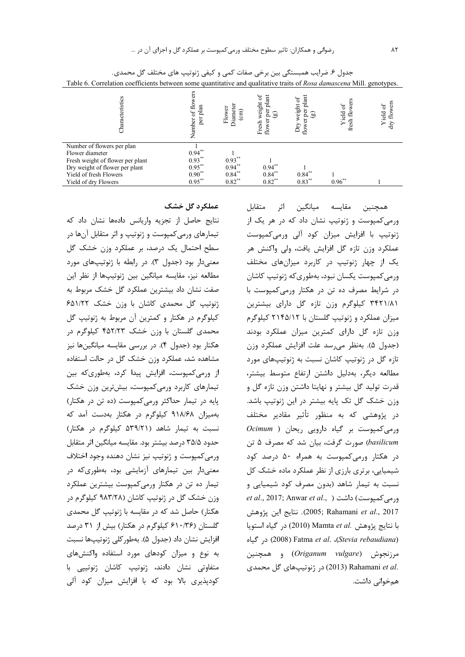| Characteristics                                                                                                                                                       | Number of flowers<br>plan<br>per                              | Flower<br>Diamete<br>$\widehat{\text{cm}}$       | 5°<br>plant<br>weight<br>per<br>್ರಾ<br>flower<br>Fresh | plant<br>Ъ<br>weight<br>per<br>ದಾ<br>۵<br>$\rm{Dry}$<br>flow | ÿ<br>$\sigma$<br>Yield<br>$\frac{1}{2}$<br>fresh | flowers<br>Yield of<br>dry |
|-----------------------------------------------------------------------------------------------------------------------------------------------------------------------|---------------------------------------------------------------|--------------------------------------------------|--------------------------------------------------------|--------------------------------------------------------------|--------------------------------------------------|----------------------------|
| Number of flowers per plan<br>Flower diameter<br>Fresh weight of flower per plant<br>Dry weight of flower per plant<br>Yield of fresh Flowers<br>Yield of dry Flowers | $0.94***$<br>$0.93***$<br>$0.95***$<br>$0.90***$<br>$0.95***$ | $0.93***$<br>$0.94***$<br>$0.84***$<br>$0.82***$ | $0.94**$<br>$0.84***$<br>$0.82**$                      | $0.84***$<br>$0.83***$                                       | $0.96**$                                         |                            |

جدول ۶. ضرایب همبستگی بین برخی صفات کمی و کیفی ژنوتیپ های مختلف گل محمدی. Table 6. Correlation coefficients between some quantitative and qualitative traits of Rosa damascena Mill. genotypes.

عملکرد گل خشک

نتایج حاصل از تجزیه واریانس دادهها نشان داد که تیمارهای ورمیکمپوست و ژنوتیپ و اثر متقابل آنها در سطح احتمال یک درصد، بر عملکرد وزن خشک گل معنیدار بود (جدول ٣). در رابطه با ژنوتیپهای مورد مطالعه نيز، مقايسه ميانگين بين ژنوتيپها از نظر اين صفت نشان داد بیشترین عملکرد گل خشک مربوط به ژنوتیپ گل محمدی کاشان با وزن خشک ۶۵۱/۲۲ کیلوگرم در هکتار و کمترین آن مربوط به ژنوتیپ گل محمدی گلستان با وزن خشک ۴۵۲/۲۳ کیلوگرم در هکتار بود (جدول ۴). در بررسی مقایسه میانگینها نیز مشاهده شد، عملکرد وزن خشک گل در حالت استفاده از ورمیکمپوست، افزایش پیدا کرد، بهطوریکه بین تیمارهای کاربرد ورمیکمپوست، بیشترین وزن خشک پایه در تیمار حداکثر ورمی کمپوست (ده تن در هکتار) بهمیزان ۹۱۸/۶۸ کیلوگرم در هکتار بهدست آمد که نسبت به تیمار شاهد (۵۳۹/۲۱ کیلوگرم در هکتار) حدود ۳۵/۵ درصد بيشتر بود. مقايسه ميانگين اثر متقابل ورمي كميوست و ژنوتيپ نيز نشان دهنده وجود اختلاف معنیدار بین تیمارهای آزمایشی بود، بهطوریکه در تیمار ده تن در هکتار ورمی کمپوست بیشترین عملکرد وزن خشک گل در ژنوتیپ کاشان (۹۸۳/۲۸ کیلوگرم در هکتار) حاصل شد که در مقایسه با ژنوتیپ گل محمدی گلستان (۶۱۰/۳۶ کیلوگرم در هکتار) بیش از ۳۱ درصد افزايش نشان داد (جدول ۵). بهطوركلي ژنوتيپها نسبت به نوع و میزان کودهای مورد استفاده واکنشهای متفاوتی نشان دادند، ژنوتیپ کاشان ژنوتییی با کودپذیری بالا بود که با افزایش میزان کود آلی

همچنین مقایسه میانگین اثر متقابل ورمیکمپوست و ژنوتیپ نشان داد که در هر یک از ژنوتیپ با افزایش میزان کود آلی ورمیکمپوست عملکرد وزن تازه گل افزایش یافت، ولی واکنش هر یک از چهار ژنوتیپ در کاربرد میزانهای مختلف ورمی کمپوست یکسان نبود، بهطوری که ژنوتیپ کاشان در شرایط مصرف ده تن در هکتار ورمی کمپوست با ۳۴۲۱/۸۱ کیلوگرم وزن تازه گل دارای بیشترین میزان عملکرد و ژنوتیپ گلستان با ۲۱۴۵/۱۲ کیلوگرم وزن تازه گل دارای کمترین میزان عملکرد بودند (جدول ۵). بەنظر می رسد علت افزایش عملکرد وزن تازه گل در ژنوتیپ کاشان نسبت به ژنوتیپهای مورد مطالعه ديگر، بهدليل داشتن ارتفاع متوسط بيشتر، قدرت تولید گل بیشتر و نهایتا داشتن وزن تازه گل و وزن خشک گل تک پایه بیشتر در این ژنوتیپ باشد. در پژوهشی که به منظور تأثیر مقادیر مختلف  $Ocimum$  ) ورمی کمپوست بر گیاه دارویی ریحان basilicum) صورت گرفت، بیان شد که مصرف ۵ تن در هکتار ورمی کمیوست به همراه ۵۰ درصد کود شیمیایی، برتری بارزی از نظر عملکرد ماده خشک کل نسبت به تیمار شاهد (بدون مصرف کود شیمیایی و et al., 2017; Anwar et al., ) داشت ( ..et al., 2017 2005; Rahamani et al., 2017). نتايج اين پژوهش با نتايج پژوهش .Mamta et al (2010) در گياه استويا در گیاه) Fatma et al. ،(Stevia rebaudiana) مرزنجوش (Origanum vulgare) و همچنین .(2013) Rahamani et al (2013) در ژنوتیپهای گل محمدی همخوانی داشت.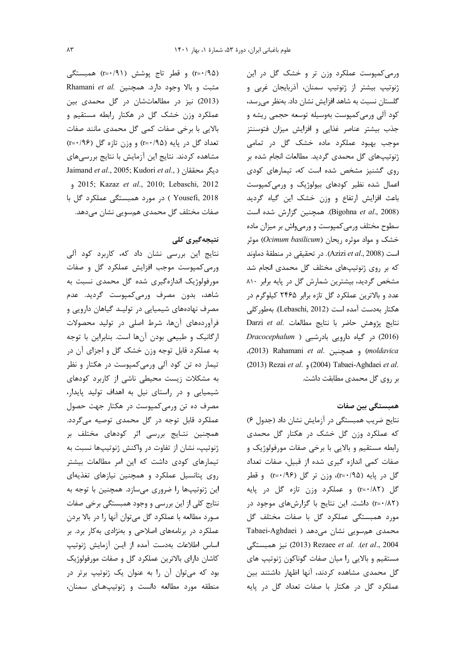(r=•/۹۵) و قطر تاج پوشش (r=•/۹۱) همبستگی Rhamani et al. مثبت و بالا وجود دارد. همچنین (2013) نیز در مطالعاتشان در گل محمدی بین عملکرد وزن خشک گل در هکتار رابطه مستقیم و بالایی با برخی صفات کمی گل محمدی مانند صفات تعداد گل در پایه (۰/۹۵-r) و وزن تازه گل (۰/۹۶) مشاهده کردند. نتایج این آزمایش با نتایج بررسیهای Jaimand et al., 2005; Kudori et al., ) ديگر محققان 2015; Kazaz et al., 2010; Lebaschi, 2012 Yousefi, 2018 ) در مورد همبستگی عملکرد گل با صفات مختلف گل محمدی همسویی نشان میدهد.

### نتیجەگیری کلی

نتایج این بررسی نشان داد که، کاربرد کود آلی ورمیکمپوست موجب افزایش عملکرد گل و صفات مورفولوژیک اندازهگیری شده گل محمدی نسبت به شاهد، بدون مصرف ورمیکمیوست گردید. عدم مصرف نهادههای شیمیایی در تولیـد گیاهان دارویی و فرآوردههای آنها، شرط اصلی در تولید محصولات ارگانیک و طبیعی بودن آنها است. بنابراین با توجه به عملکرد قابل توجه وزن خشک گل و اجزای آن در تیمار ده تن کود آلی ورمی کمیوست در هکتار و نظر به مشکلات زیست محیطی ناشی از کاربرد کودهای شیمیایی و در راستای نیل به اهداف تولید پایدار، مصرف ده تن ورمی کمپوست در هکتار جهت حصول عملکرد قابل توجه در گل محمدی توصیه میگردد. همچنین نتـایج بررسی اثر کودهای مختلف بر ژنوتیپ، نشان از تفاوت در واکنش ژنوتیپها نسبت به تیمارهای کودی داشت که این امر مطالعات بیشتر روی پتانسیل عملکرد و همچنین نیازهای تغذیهای این ژنوتیپها را ضروری میسازد. همچنین با توجه به نتایج کلی از این بررسی و وجود همبستگی برخی صفات مـورد مطالعه با عملكرد گل مىتوان آنها را در بالا بردن عملکرد در برنامههای اصلاحی و بهنژادی بهکار برد. بر اساس اطلاعات بهدست آمده از ایـن آزمایش ژنوتیپ كاشان داراي بالاترين عملكرد گل و صفات مورفولوژيک بود که میتوان آن را به عنوان یک ژنوتیپ برتر در منطقه مورد مطالعه دانست و ژنوتیپهای سمنان،

ورمی کمپوست عملکرد وزن تر و خشک گل در این ژنوتیپ بیشتر از ژنوتیپ سمنان، آذربایجان غربی و گلستان نسبت به شاهد افزایش نشان داد. بهنظر میرسد، کود آلی ورمی کمپوست بهوسیله توسعه حجمی ریشه و جذب بیشتر عناصر غذایی و افزایش میزان فتوسنتز موجب بهبود عملکرد ماده خشک گل در تمامی ژنوتیپهای گل محمدی گردید. مطالعات انجام شده بر روی گشنیز مشخص شده است که، تیمارهای کودی اعمال شده نظیر کودهای بیولوژیک و ورمی کمپوست باعث افزایش ارتفاع و وزن خشک این گیاه گردید (Bigohna et al., 2008). همچنین گزارش شده است سطوح مختلف ورمى كمپوست و ورمىواش بر ميزان ماده خشک و مواد موثره ریحان (Ocimum basilicum) موثر است (Azizi et al., 2008). در تحقیقی در منطقهٔ دماوند که بر روی ژنوتیپهای مختلف گل محمدی انجام شد مشخص گردید، بیشترین شمارش گل در پایه برابر ۸۱۰ عدد و بالاترین عملکرد گل تازه برابر ۲۴۶۵ کیلوگرم در هكتار بهدست آمده است (Lebaschi, 2012). بهطور كلي Darzi et al. نتايج مطالعات. Darzi et al. (2016) در گیاه دارویی بادرشبی ( Dracocephalum (2013) Rahamani et al. و همچنین (2013). (2013) Rezai et al. (2004) Tabaei-Aghdaei et al. بر روی گل محمدی مطابقت داشت.

همبستگی بین صفات

نتايج ضريب همبستگي در آزمايش نشان داد (جدول ۶) که عملکرد وزن گل خشک در هکتار گل محمدی رابطه مستقیم و بالایی با برخی صفات مورفولوژیک و صفات کمی اندازه گیری شده از قبیل، صفات تعداد گل در پایه (۲=۰/۹۵)، وزن تر گل (۲=۰/۹۶) و قطر گل (r=٠/٨٢) و عملكرد وزن تازه گل در پايه (r=٠/٨٢) داشت. این نتایج با گزارشهای موجود در مورد همبستگی عملکرد گل با صفات مختلف گل Tabaei-Aghdaei ) می دهد ( Tabaei-Aghdaei et al., 2004). Rezaee et al. (et al., 2004) نيز همبستگى مستقیم و بالایی را میان صفات گوناکون ژنوتیپ های گل محمدی مشاهده کردند، آنها اظهار داشتند بین عملکرد گل در هکتار با صفات تعداد گل در پایه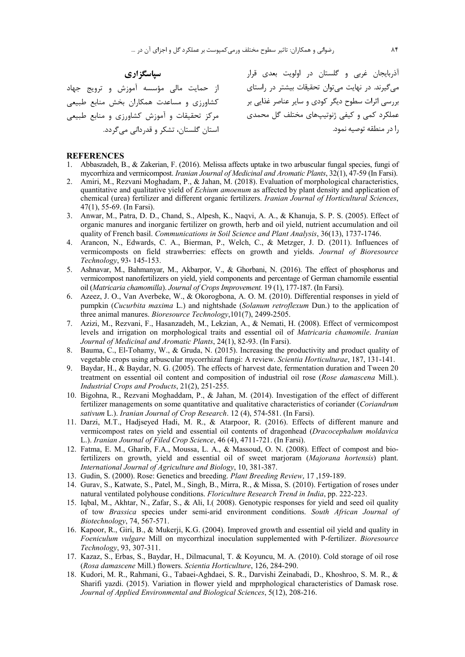**سپاسگزاری** 

عملکرد کمی و کیفی ژنوتیپهای مختلف گل محمدی مسمس مرکز تحقیقات و آموزش کشاورزی و منابع طبیعی از حمایت مالی مؤسسه آموزش و ترویج جهاد کشاورزی و مساعدت همکاران بخش منابع طبیعی استان گلستان، تشکر و قدردانی میگردد.

آذربایجان غربی و گلستان در اولویت بعدی قرار میگیرند. در نهایت میتوان تحقیقات بیشتر در راستای بررسی اثرات سطوح دیگر کودی و سایر عناصر غذایی بر را در منطقه توصيه نمود.

#### **REFERENCES**

- 1. Abbaszadeh, B., & Zakerian, F. (2016). Melissa affects uptake in two arbuscular fungal species, fungi of mycorrhiza and vermicompost. *Iranian Journal of Medicinal and Aromatic Plants*, 32(1), 47-59 (In Farsi).
- 2. Amiri, M., Rezvani Moghadam, P., & Jahan, M. (2018). Evaluation of morphological characteristics, quantitative and qualitative yield of *Echium amoenum* as affected by plant density and application of chemical (urea) fertilizer and different organic fertilizers. *Iranian Journal of Horticultural Sciences*, 47(1), 55-69. (In Farsi).
- 3. Anwar, M., Patra, D. D., Chand, S., Alpesh, K., Naqvi, A. A., & Khanuja, S. P. S. (2005). Effect of organic manures and inorganic fertilizer on growth, herb and oil yield, nutrient accumulation and oil quality of French basil. *Communications in Soil Science and Plant Analysis*, 36(13), 1737-1746.
- 4. Arancon, N., Edwards, C. A., Bierman, P., Welch, C., & Metzger, J. D. (2011). Influences of vermicomposts on field strawberries: effects on growth and yields. *Journal of Bioresource Technology*, 93، 145-153.
- 5. Ashnavar, M., Bahmanyar, M., Akbarpor, V., & Ghorbani, N. (2016). The effect of phosphorus and vermicompost nanofertilizers on yield, yield components and percentage of German chamomile essential oil (*Matricaria chamomilla*). *Journal of Crops Improvement.* 19 (1), 177-187. (In Farsi).
- 6. Azeez, J. O., Van Averbeke, W., & Okorogbona, A. O. M. (2010). Differential responses in yield of pumpkin (*Cucurbita maxima* L.) and nightshade (*Solanum retroflexum* Dun.) to the application of three animal manures. *Bioresource Technology*,101(7), 2499-2505.
- 7. Azizi, M., Rezvani, F., Hasanzadeh, M., Lekzian, A., & Nemati, H. (2008). Effect of vermicompost levels and irrigation on morphological traits and essential oil of *Matricaria chamomile*. *Iranian Journal of Medicinal and Aromatic Plants*, 24(1), 82-93. (In Farsi).
- 8. Bauma, C., El-Tohamy, W., & Gruda, N. (2015). Increasing the productivity and product quality of vegetable crops using arbuscular mycorrhizal fungi: A review. *Scientia Horticulturae*, 187, 131-141.
- 9. Baydar, H., & Baydar, N. G. (2005). The effects of harvest date, fermentation duration and Tween 20 treatment on essential oil content and composition of industrial oil rose (*Rose damascena* Mill.). *Industrial Crops and Products*, 21(2), 251-255.
- 10. Bigohna, R., Rezvani Moghaddam, P., & Jahan, M. (2014). Investigation of the effect of different fertilizer managements on some quantitative and qualitative characteristics of coriander (*Coriandrum sativum* L.). *Iranian Journal of Crop Research*. 12 (4), 574-581. (In Farsi).
- 11. Darzi, M.T., Hadjseyed Hadi, M. R., & Atarpoor, R. (2016). Effects of different manure and vermicompost rates on yield and essential oil contents of dragonhead (*Dracocephalum moldavica* L.). *Iranian Journal of Filed Crop Science*, 46 (4), 4711-721. (In Farsi).
- 12. Fatma, E. M., Gharib, F.A., Moussa, L. A., & Massoud, O. N. (2008). Effect of compost and biofertilizers on growth, yield and essential oil of sweet marjoram (*Majorana hortensis*) plant. *International Journal of Agriculture and Biology*, 10, 381-387.
- 13. Gudin, S. (2000). Rose: Genetics and breeding. *Plant Breeding Review*, 17 ,159-189.
- 14. Gurav, S., Katwate, S., Patel, M., Singh, B., Mirra, R., & Missa, S. (2010). Fertigation of roses under natural ventilated polyhouse conditions. *Floriculture Research Trend in India*, pp. 222-223.
- 15. Iqbal, M., Akhtar, N., Zafar, S., & Ali, I.( 2008). Genotypic responses for yield and seed oil quality of tow *Brassica* species under semi-arid environment conditions. *South African Journal of Biotechnology*, 74, 567-571.
- 16. Kapoor, R., Giri, B., & Mukerji, K.G. (2004). Improved growth and essential oil yield and quality in *Foeniculum vulgare* Mill on mycorrhizal inoculation supplemented with P-fertilizer. *Bioresource Technology*, 93, 307-311.
- 17. Kazaz, S., Erbas, S., Baydar, H., Dilmacunal, T. & Koyuncu, M. A. (2010). Cold storage of oil rose (*Rosa damascene* Mill.) flowers. *Scientia Horticulture*, 126, 284-290.
- 18. Kudori, M. R., Rahmani, G., Tabaei-Aghdaei, S. R., Darvishi Zeinabadi, D., Khoshroo, S. M. R., & Sharifi yazdi. (2015). Variation in flower yield and mprphological characteristics of Damask rose. *Journal of Applied Environmental and Biological Sciences*, 5(12), 208-216.